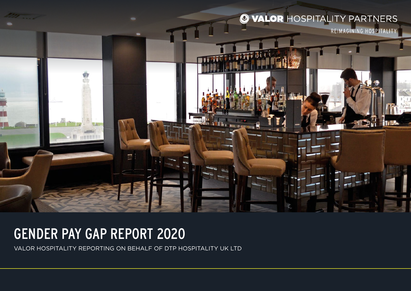## O VALOR HOSPITALITY PARTNERS

REIMAGINING HOSPITALITY

## GENDER PAY GAP REPORT 2020

VALOR HOSPITALITY REPORTING ON BEHALF OF DTP HOSPITALITY UK LTD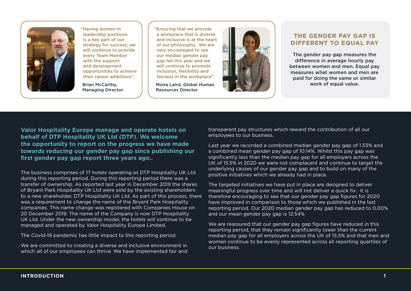

"Having women in leadership positions is a key part of our strategy for success, we will continue to provide every Team Member with the support and development opportunities to achieve their career ambitions".

Brian McCarthy, Managing Director "Ensuring that we provide a workplace that is diverse and inclusive is at the heart of our philosophy. We are very encouraged to see our median gender pay gap fall this year and we will continue to promote inclusion, flexibility and fairness in the workplace".

Moira Laird, Global Human Resources Director



### **THE GENDER PAY GAP IS DIFFERENT TO EQUAL PAY**

The gender pay gap measures the difference in average hourly pay between women and men. Equal pay measures what women and men are paid for doing the same or similar work of equal value.

**Valor Hospitality Europe manage and operate hotels on behalf of DTP Hospitality UK Ltd (DTP). We welcome the opportunity to report on the progress we have made towards reducing our gender pay gap since publishing our first gender pay gap report three years ago..**

The business comprises of 17 hotels operating as DTP Hospitality UK Ltd during this reporting period. During this reporting period there was a transfer of ownership. As reported last year in December 2019 the shares of Bryant Park Hospitality UK Ltd were sold by the existing shareholders to a new shareholder, DTP Hospitality UK Ltd. As part of this process, there was a requirement to change the name of the Bryant Park Hospitality companies. This name change was registered with Companies House on 20 December 2019. The name of the Company is now DTP Hospitality UK Ltd. Under the new ownership model, the hotels will continue to be managed and operated by Valor Hospitality Europe Limited.

The Covid-19 pandemic has little impact to this reporting period.

We are committed to creating a diverse and inclusive environment in which all of our employees can thrive. We have implemented fair and transparent pay structures which reward the contribution of all our employees to our business.

Last year we recorded a combined median gender pay gap of 1.33% and a combined mean gender pay gap of 10.14%. Whilst this pay gap was significantly less than the median pay gap for all employers across the UK of 15.5% in 2020 we were not complacent and continue to target the underlying causes of our gender pay gap and to build on many of the positive initiatives which we already had in place.

The targeted initiatives we have put in place are designed to deliver meaningful progress over time and will not deliver a quick fix. It is therefore encouraging to see that our gender pay gap figures for 2020 have improved in comparison to those which we published in the last reporting period. Our 2020 median gender pay gap has reduced to 0.00% and our mean gender pay gap is 12.54%

We are reassured that our gender pay gap figures have reduced in this reporting period, that they remain significantly lower than the current median pay gap for all employers across the UK of 15.5% and that men and women continue to be evenly represented across all reporting quartiles of our business.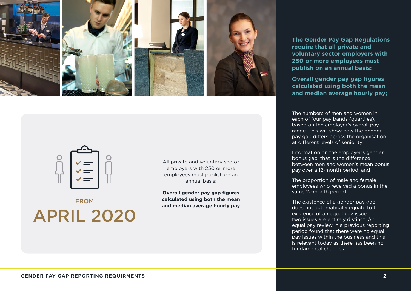

APRIL 2020 FROM

All private and voluntary sector employers with 250 or more employees must publish on an annual basis:

**Overall gender pay gap figures calculated using both the mean and median average hourly pay** **The Gender Pay Gap Regulations require that all private and voluntary sector employers with 250 or more employees must publish on an annual basis:**

**Overall gender pay gap figures calculated using both the mean and median average hourly pay;** 

The numbers of men and women in each of four pay bands (quartiles), based on the employer's overall pay range. This will show how the gender pay gap differs across the organisation, at different levels of seniority;

Information on the employer's gender bonus gap, that is the difference between men and women's mean bonus pay over a 12-month period; and

The proportion of male and female employees who received a bonus in the same 12-month period.

The existence of a gender pay gap does not automatically equate to the existence of an equal pay issue. The two issues are entirely distinct. An equal pay review in a previous reporting period found that there were no equal pay issues within the business and this is relevant today as there has been no fundamental changes.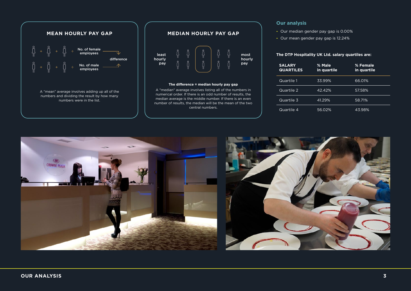

### **MEDIAN HOURLY PAY GAP**



### **The difference = median hourly pay gap**

A "median" average involves listing all of the numbers in numerical order. If there is an odd number of results, the median average is the middle number. If there is an even number of results, the median will be the mean of the two central numbers.

### **Our analysis**

- **-** Our median gender pay gap is 0.00%
- **-** Our mean gender pay gap is 12.24%

### **The DTP Hospitality UK Ltd. salary quartiles are:**

| <b>SALARY</b><br><b>QUARTILES</b> | % Male<br>in quartile | % Female<br>in quartile |
|-----------------------------------|-----------------------|-------------------------|
| Quartile 1                        | 33.99%                | 66.01%                  |
| Quartile 2                        | 42.42%                | 57.58%                  |
| Quartile 3                        | 41.29%                | 58.71%                  |
| Quartile 4                        | 56.02%                | 43.98%                  |

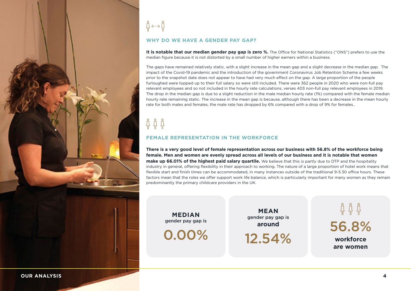

 $\mathring{\Pi} \longleftrightarrow \mathring{\Pi}$ **WHY DO WE HAVE A GENDER PAY GAP?**

**It is notable that our median gender pay gap is zero %.** The Office for National Statistics ("ONS") prefers to use the median figure because it is not distorted by a small number of higher earners within a business.

The gaps have remained relatively static, with a slight increase in the mean gap and a slight decrease in the median gap. The impact of the Covid-19 pandemic and the introduction of the government Coronavirus Job Retention Scheme a few weeks prior to the snapshot date does not appear to have had very much effect on the gap. A large proportion of the people furloughed were topped up to their full salary so were still included. There were 362 people in 2020 who were non-full pay relevant employees and so not included in the hourly rate calculations, verses 403 non-full pay relevant employees in 2019. The drop in the median gap is due to a slight reduction in the male median hourly rate (1%) compared with the female median hourly rate remaining static. The increase in the mean gap is because, although there has been a decrease in the mean hourly rate for both males and females, the male rate has dropped by 6% compared with a drop of 9% for females..

# <u>ជុំ ជុំ ជុំ</u>

### **FEMALE REPRESENTATION IN THE WORKFORCE**

**There is a very good level of female representation across our business with 56.8% of the workforce being female. Men and women are evenly spread across all levels of our business and it is notable that women make up 66.01% of the highest paid salary quartile.** We believe that this is partly due to DTP and the hospitality industry in general, offering flexibility in their approach to working. The nature of a large proportion of hotel work means that flexible start and finish times can be accommodated, in many instances outside of the traditional 9-5.30 office hours. These factors mean that the roles we offer support work life balance, which is particularly important for many women as they remain predominantly the primary childcare providers in the UK.

**MEDIAN** gender pay gap is

0.00% 12.54%

**MEAN** gender pay gap is

**around** 56.8% **workforce are women**

**OUR ANALYSIS 4**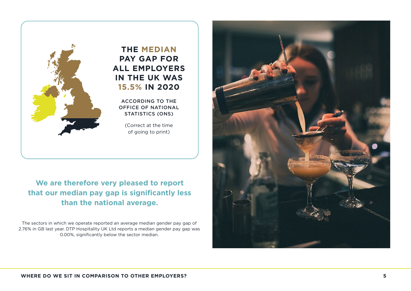

### **PAY GAP FOR ALL EMPLOYERS IN THE UK WAS 15.5% IN 2020**

### **We are therefore very pleased to report that our median pay gap is significantly less than the national average.**

The sectors in which we operate reported an average median gender pay gap of 2.76% in GB last year. DTP Hospitality UK Ltd reports a median gender pay gap was 0.00%, significantly below the sector median.

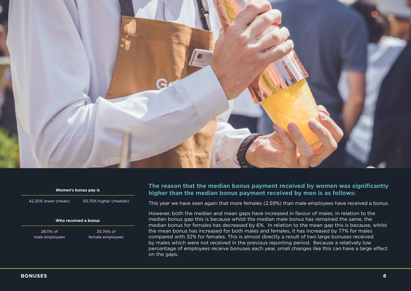

#### **Women's bonus pay is**

42.25% lower (mean) 50.75% higher (median)

### **Who received a bonus**

28.11% of male employees

30.74% of female employees

### **The reason that the median bonus payment received by women was significantly higher than the median bonus payment received by men is as follows:**

This year we have seen again that more females (2.59%) than male employees have received a bonus.

However, both the median and mean gaps have increased in favour of males. In relation to the median bonus gap this is because whilst the median male bonus has remained the same, the median bonus for females has decreased by 6%. In relation to the mean gap this is because, whilst the mean bonus has increased for both males and females, it has increased by 77% for males compared with 32% for females. This is almost directly a result of two large bonuses received by males which were not received in the previous reporting period. Because a relatively low percentage of employees receive bonuses each year, small changes like this can have a large effect on the gaps.